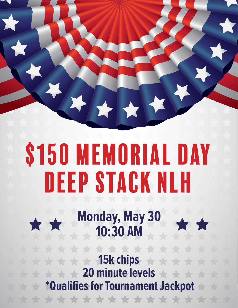## \$150 MEMORIAL DAY Deep Stack NLH

**Monday, May 30 10:30 AM**

**15k chips**  $\blacktriangle$  $\rightarrow$  $\blacktriangleright$  $\blacktriangle$ **20 minute levels**  $\rightarrow$  **\*Qualifies for Tournament Jackpot** \*\*\*\*\*\*\*\*\*\*\*